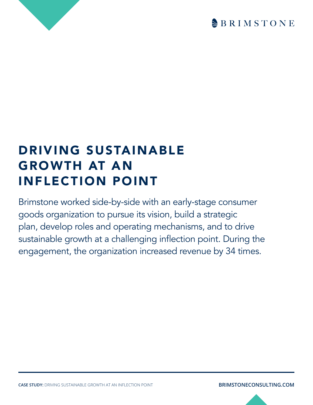

## DRIVING SUSTAINABLE GROWTH AT AN INFLECTION POINT

Brimstone worked side-by-side with an early-stage consumer goods organization to pursue its vision, build a strategic plan, develop roles and operating mechanisms, and to drive sustainable growth at a challenging inflection point. During the engagement, the organization increased revenue by 34 times.